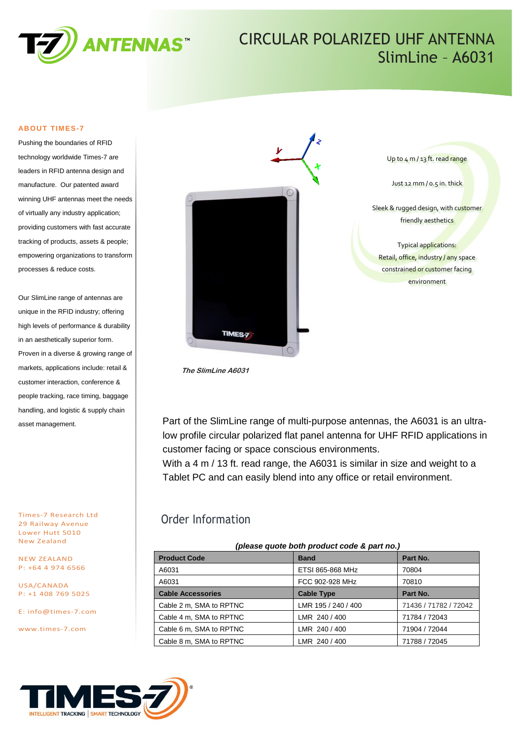

# CIRCULAR POLARIZED UHF ANTENNA SlimLine – A6031

#### **ABOUT TIMES-7**

Pushing the boundaries of RFID technology worldwide Times-7 are leaders in RFID antenna design and manufacture. Our patented award winning UHF antennas meet the needs of virtually any industry application; providing customers with fast accurate tracking of products, assets & people; empowering organizations to transform processes & reduce costs.

Our SlimLine range of antennas are unique in the RFID industry; offering high levels of performance & durability in an aesthetically superior form. Proven in a diverse & growing range of markets, applications include: retail & customer interaction, conference & people tracking, race timing, baggage handling, and logistic & supply chain asset management.

Times-7 Research Ltd 29 Railway Avenue Lower Hutt 5010 New Zealand

NEW ZEALAND P: +64 4 974 6566

USA/CANADA P: +1 408 769 5025

E: [info@times-7.com](mailto:info@times-7.com)

www.times-7.com



**The SlimLine A6031**

Part of the SlimLine range of multi-purpose antennas, the A6031 is an ultralow profile circular polarized flat panel antenna for UHF RFID applications in customer facing or space conscious environments.

With a 4 m / 13 ft. read range, the A6031 is similar in size and weight to a Tablet PC and can easily blend into any office or retail environment.

### Order Information

| (please quote both product code & part no.) |                     |                       |  |
|---------------------------------------------|---------------------|-----------------------|--|
| <b>Product Code</b>                         | <b>Band</b>         | Part No.              |  |
| A6031                                       | ETSI 865-868 MHz    | 70804                 |  |
| A6031                                       | FCC 902-928 MHz     | 70810                 |  |
| <b>Cable Accessories</b>                    | <b>Cable Type</b>   | Part No.              |  |
| Cable 2 m, SMA to RPTNC                     | LMR 195 / 240 / 400 | 71436 / 71782 / 72042 |  |
| Cable 4 m, SMA to RPTNC                     | LMR 240 / 400       | 71784 / 72043         |  |
| Cable 6 m, SMA to RPTNC                     | LMR 240 / 400       | 71904 / 72044         |  |
| Cable 8 m, SMA to RPTNC                     | LMR 240 / 400       | 71788 / 72045         |  |



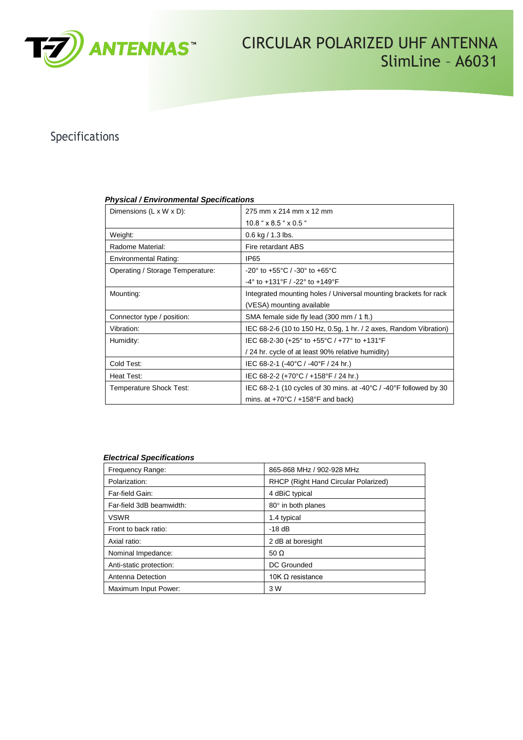

CIRCULAR POLARIZED UHF ANTENNA SlimLine – A6031

## Specifications

| Dimensions $(L \times W \times D)$ : | 275 mm x 214 mm x 12 mm                                                               |  |
|--------------------------------------|---------------------------------------------------------------------------------------|--|
|                                      | $10.8$ " $\times$ 8.5 " $\times$ 0.5 "                                                |  |
| Weight:                              | $0.6$ kg $/ 1.3$ lbs.                                                                 |  |
| Radome Material:                     | Fire retardant ABS                                                                    |  |
| <b>Environmental Rating:</b>         | IP <sub>65</sub>                                                                      |  |
| Operating / Storage Temperature:     | $-20^{\circ}$ to $+55^{\circ}$ C / $-30^{\circ}$ to $+65^{\circ}$ C                   |  |
|                                      | -4° to +131°F / -22° to +149°F                                                        |  |
| Mounting:                            | Integrated mounting holes / Universal mounting brackets for rack                      |  |
|                                      | (VESA) mounting available                                                             |  |
| Connector type / position:           | SMA female side fly lead (300 mm / 1 ft.)                                             |  |
| Vibration:                           | IEC 68-2-6 (10 to 150 Hz, 0.5g, 1 hr. / 2 axes, Random Vibration)                     |  |
| Humidity:                            | IEC 68-2-30 (+25° to +55°C / +77° to +131°F                                           |  |
|                                      | / 24 hr. cycle of at least 90% relative humidity)                                     |  |
| Cold Test:                           | IEC 68-2-1 (-40°C / -40°F / 24 hr.)                                                   |  |
| Heat Test:                           | IEC 68-2-2 (+70°C / +158°F / 24 hr.)                                                  |  |
| Temperature Shock Test:              | IEC 68-2-1 (10 cycles of 30 mins. at -40 $\degree$ C / -40 $\degree$ F followed by 30 |  |
|                                      | mins. at $+70^{\circ}$ C / $+158^{\circ}$ F and back)                                 |  |

### *Physical / Environmental Specifications*

### *Electrical Specifications*

| Frequency Range:         | 865-868 MHz / 902-928 MHz            |
|--------------------------|--------------------------------------|
| Polarization:            | RHCP (Right Hand Circular Polarized) |
| Far-field Gain:          | 4 dBiC typical                       |
| Far-field 3dB beamwidth: | 80° in both planes                   |
| <b>VSWR</b>              | 1.4 typical                          |
| Front to back ratio:     | $-18$ dB                             |
| Axial ratio:             | 2 dB at boresight                    |
| Nominal Impedance:       | 50 $\Omega$                          |
| Anti-static protection:  | <b>DC Grounded</b>                   |
| Antenna Detection        | 10K $\Omega$ resistance              |
| Maximum Input Power:     | 3 W                                  |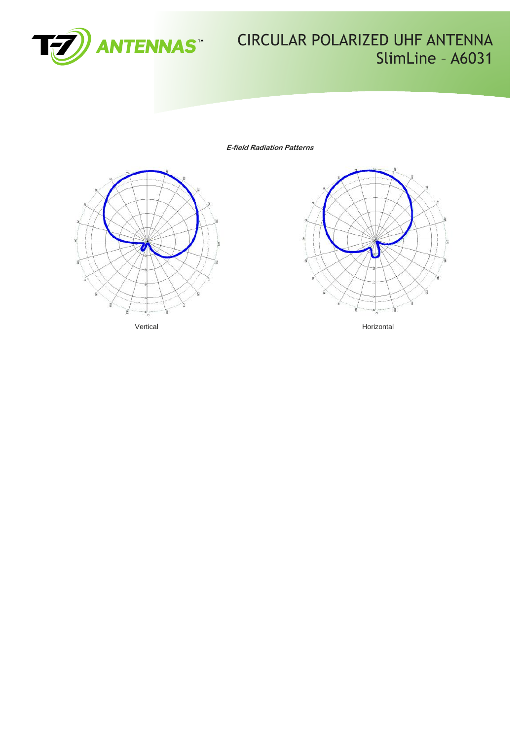

# **CIRCULAR POLARIZED UHF ANTENNA** SlimLine - A6031

**E-field Radiation Patterns**